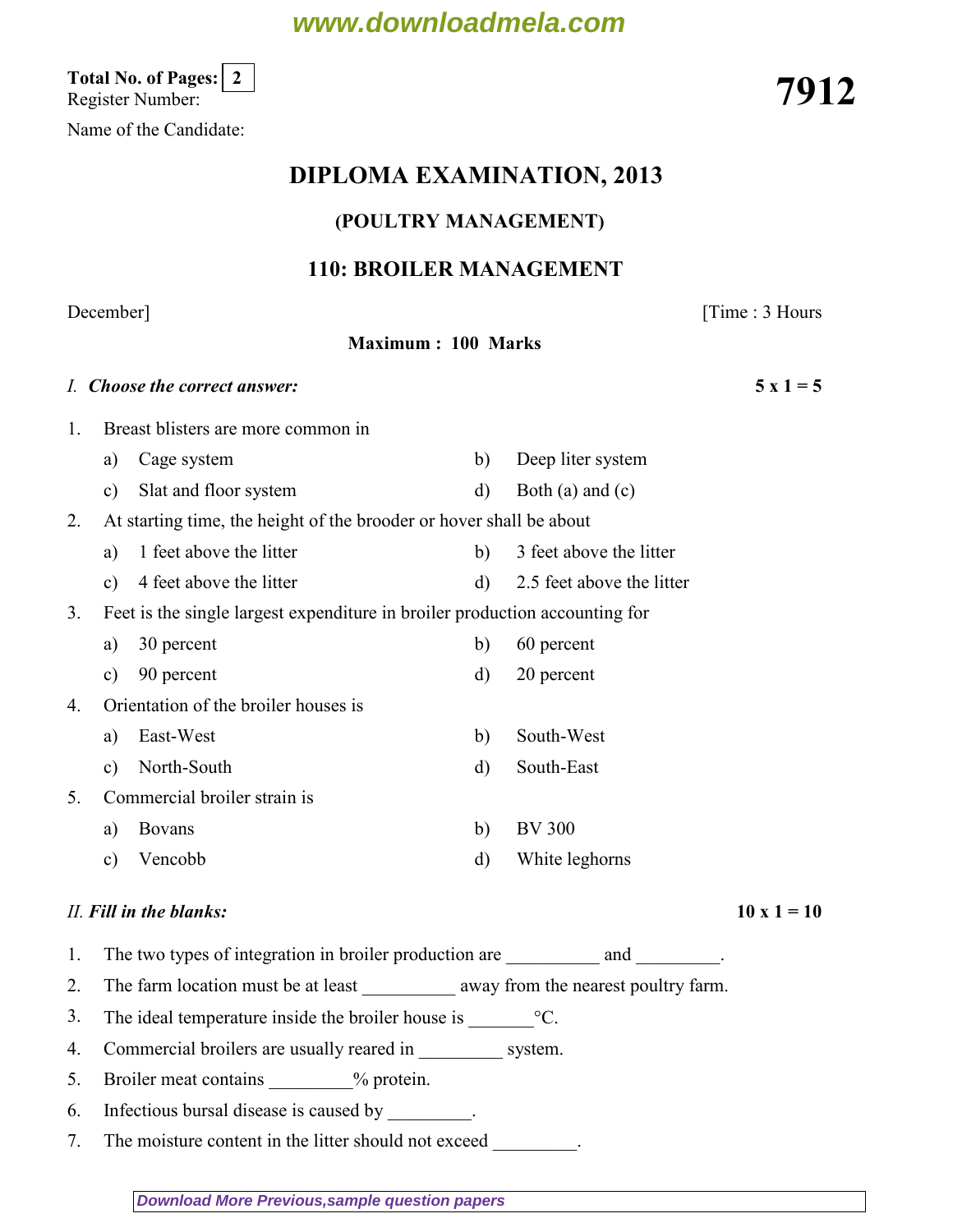## **www.downloadmela.com**

Total No. of Pages:  $\lfloor 2 \rfloor$  (Register Number: 7912)

Name of the Candidate:

## DIPLOMA EXAMINATION, 2013

### (POULTRY MANAGEMENT)

### 110: BROILER MANAGEMENT

Maximum : 100 Marks

### December] [Time : 3 Hours

|                                                                           | I. Choose the correct answer:                                               |                                                                                     |              |                           |                    |
|---------------------------------------------------------------------------|-----------------------------------------------------------------------------|-------------------------------------------------------------------------------------|--------------|---------------------------|--------------------|
| $1_{\cdot}$                                                               |                                                                             | Breast blisters are more common in                                                  |              |                           |                    |
|                                                                           | a)                                                                          | Cage system                                                                         | b)           | Deep liter system         |                    |
|                                                                           | $\mathbf{c})$                                                               | Slat and floor system                                                               | $\mathbf{d}$ | Both (a) and $(c)$        |                    |
| At starting time, the height of the brooder or hover shall be about<br>2. |                                                                             |                                                                                     |              |                           |                    |
|                                                                           | a)                                                                          | 1 feet above the litter                                                             | b)           | 3 feet above the litter   |                    |
|                                                                           | c)                                                                          | 4 feet above the litter                                                             | $\mathbf{d}$ | 2.5 feet above the litter |                    |
| 3.                                                                        | Feet is the single largest expenditure in broiler production accounting for |                                                                                     |              |                           |                    |
|                                                                           | a)                                                                          | 30 percent                                                                          | b)           | 60 percent                |                    |
|                                                                           | $\mathbf{c})$                                                               | 90 percent                                                                          | $\mathbf{d}$ | 20 percent                |                    |
| 4.                                                                        |                                                                             | Orientation of the broiler houses is                                                |              |                           |                    |
|                                                                           | a)                                                                          | East-West                                                                           | b)           | South-West                |                    |
|                                                                           | $\mathbf{c})$                                                               | North-South                                                                         | $\mathbf{d}$ | South-East                |                    |
| 5.                                                                        |                                                                             | Commercial broiler strain is                                                        |              |                           |                    |
|                                                                           | a)                                                                          | <b>Bovans</b>                                                                       | b)           | <b>BV 300</b>             |                    |
|                                                                           | $\mathbf{c})$                                                               | Vencobb                                                                             | $\mathbf{d}$ | White leghorns            |                    |
|                                                                           |                                                                             | II. Fill in the blanks:                                                             |              |                           | $10 \times 1 = 10$ |
| 1.                                                                        |                                                                             | The two types of integration in broiler production are __________________________.  |              |                           |                    |
| 2.                                                                        |                                                                             | The farm location must be at least ____________ away from the nearest poultry farm. |              |                           |                    |
| 3.                                                                        | The ideal temperature inside the broiler house is $\text{C}$ .              |                                                                                     |              |                           |                    |
| 4.                                                                        |                                                                             | Commercial broilers are usually reared in _________                                 |              | system.                   |                    |

- 5. Broiler meat contains  $\%$  protein.
- 6. Infectious bursal disease is caused by \_\_\_\_\_\_\_\_\_.
- 7. The moisture content in the litter should not exceed